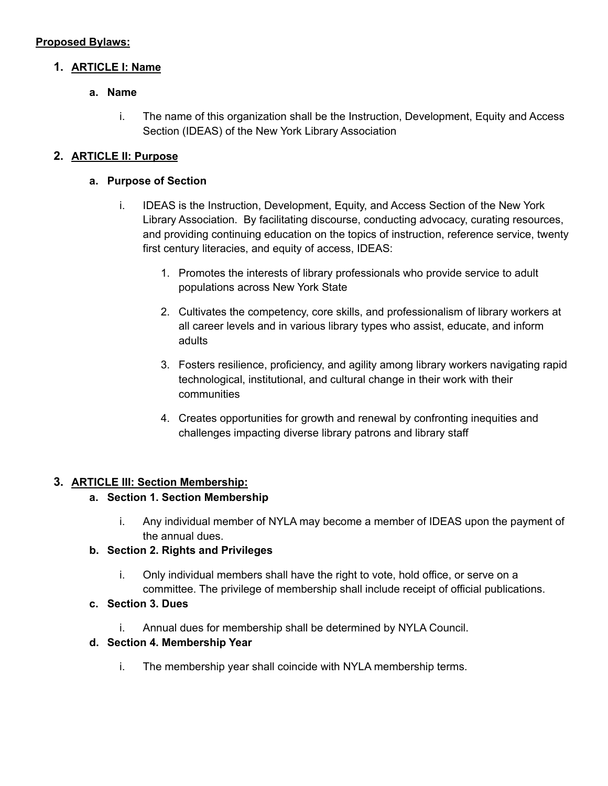### **Proposed Bylaws:**

### **1. ARTICLE I: Name**

### **a. Name**

i. The name of this organization shall be the Instruction, Development, Equity and Access Section (IDEAS) of the New York Library Association

## **2. ARTICLE II: Purpose**

#### **a. Purpose of Section**

- i. IDEAS is the Instruction, Development, Equity, and Access Section of the New York Library Association. By facilitating discourse, conducting advocacy, curating resources, and providing continuing education on the topics of instruction, reference service, twenty first century literacies, and equity of access, IDEAS:
	- 1. Promotes the interests of library professionals who provide service to adult populations across New York State
	- 2. Cultivates the competency, core skills, and professionalism of library workers at all career levels and in various library types who assist, educate, and inform adults
	- 3. Fosters resilience, proficiency, and agility among library workers navigating rapid technological, institutional, and cultural change in their work with their communities
	- 4. Creates opportunities for growth and renewal by confronting inequities and challenges impacting diverse library patrons and library staff

#### **3. ARTICLE III: Section Membership:**

#### **a. Section 1. Section Membership**

i. Any individual member of NYLA may become a member of IDEAS upon the payment of the annual dues.

# **b. Section 2. Rights and Privileges**

- i. Only individual members shall have the right to vote, hold office, or serve on a committee. The privilege of membership shall include receipt of official publications.
- **c. Section 3. Dues**
	- i. Annual dues for membership shall be determined by NYLA Council.

## **d. Section 4. Membership Year**

i. The membership year shall coincide with NYLA membership terms.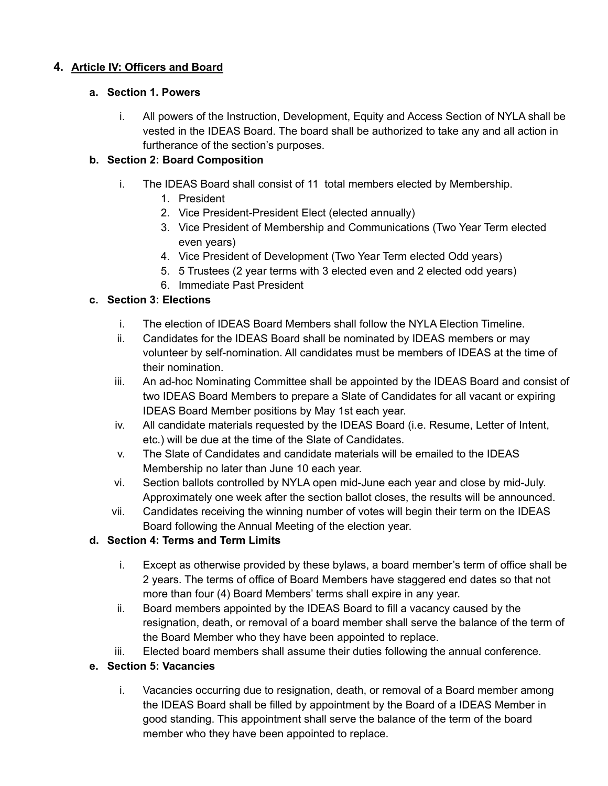# **4. Article IV: Officers and Board**

### **a. Section 1. Powers**

i. All powers of the Instruction, Development, Equity and Access Section of NYLA shall be vested in the IDEAS Board. The board shall be authorized to take any and all action in furtherance of the section's purposes.

## **b. Section 2: Board Composition**

- i. The IDEAS Board shall consist of 11 total members elected by Membership.
	- 1. President
	- 2. Vice President-President Elect (elected annually)
	- 3. Vice President of Membership and Communications (Two Year Term elected even years)
	- 4. Vice President of Development (Two Year Term elected Odd years)
	- 5. 5 Trustees (2 year terms with 3 elected even and 2 elected odd years)
	- 6. Immediate Past President

## **c. Section 3: Elections**

- i. The election of IDEAS Board Members shall follow the NYLA Election Timeline.
- ii. Candidates for the IDEAS Board shall be nominated by IDEAS members or may volunteer by self-nomination. All candidates must be members of IDEAS at the time of their nomination.
- iii. An ad-hoc Nominating Committee shall be appointed by the IDEAS Board and consist of two IDEAS Board Members to prepare a Slate of Candidates for all vacant or expiring IDEAS Board Member positions by May 1st each year.
- iv. All candidate materials requested by the IDEAS Board (i.e. Resume, Letter of Intent, etc.) will be due at the time of the Slate of Candidates.
- v. The Slate of Candidates and candidate materials will be emailed to the IDEAS Membership no later than June 10 each year.
- vi. Section ballots controlled by NYLA open mid-June each year and close by mid-July. Approximately one week after the section ballot closes, the results will be announced.
- vii. Candidates receiving the winning number of votes will begin their term on the IDEAS Board following the Annual Meeting of the election year.

## **d. Section 4: Terms and Term Limits**

- i. Except as otherwise provided by these bylaws, a board member's term of office shall be 2 years. The terms of office of Board Members have staggered end dates so that not more than four (4) Board Members' terms shall expire in any year.
- ii. Board members appointed by the IDEAS Board to fill a vacancy caused by the resignation, death, or removal of a board member shall serve the balance of the term of the Board Member who they have been appointed to replace.
- iii. Elected board members shall assume their duties following the annual conference.

## **e. Section 5: Vacancies**

i. Vacancies occurring due to resignation, death, or removal of a Board member among the IDEAS Board shall be filled by appointment by the Board of a IDEAS Member in good standing. This appointment shall serve the balance of the term of the board member who they have been appointed to replace.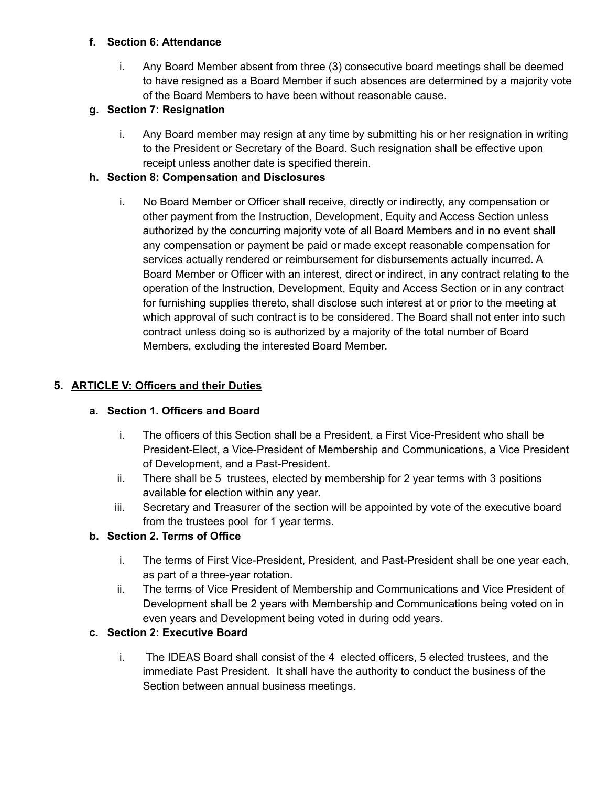### **f. Section 6: Attendance**

i. Any Board Member absent from three (3) consecutive board meetings shall be deemed to have resigned as a Board Member if such absences are determined by a majority vote of the Board Members to have been without reasonable cause.

## **g. Section 7: Resignation**

i. Any Board member may resign at any time by submitting his or her resignation in writing to the President or Secretary of the Board. Such resignation shall be effective upon receipt unless another date is specified therein.

## **h. Section 8: Compensation and Disclosures**

i. No Board Member or Officer shall receive, directly or indirectly, any compensation or other payment from the Instruction, Development, Equity and Access Section unless authorized by the concurring majority vote of all Board Members and in no event shall any compensation or payment be paid or made except reasonable compensation for services actually rendered or reimbursement for disbursements actually incurred. A Board Member or Officer with an interest, direct or indirect, in any contract relating to the operation of the Instruction, Development, Equity and Access Section or in any contract for furnishing supplies thereto, shall disclose such interest at or prior to the meeting at which approval of such contract is to be considered. The Board shall not enter into such contract unless doing so is authorized by a majority of the total number of Board Members, excluding the interested Board Member.

## **5. ARTICLE V: Officers and their Duties**

## **a. Section 1. Officers and Board**

- i. The officers of this Section shall be a President, a First Vice-President who shall be President-Elect, a Vice-President of Membership and Communications, a Vice President of Development, and a Past-President.
- ii. There shall be 5 trustees, elected by membership for 2 year terms with 3 positions available for election within any year.
- iii. Secretary and Treasurer of the section will be appointed by vote of the executive board from the trustees pool for 1 year terms.

## **b. Section 2. Terms of Office**

- i. The terms of First Vice-President, President, and Past-President shall be one year each, as part of a three-year rotation.
- ii. The terms of Vice President of Membership and Communications and Vice President of Development shall be 2 years with Membership and Communications being voted on in even years and Development being voted in during odd years.

## **c. Section 2: Executive Board**

i. The IDEAS Board shall consist of the 4 elected officers, 5 elected trustees, and the immediate Past President. It shall have the authority to conduct the business of the Section between annual business meetings.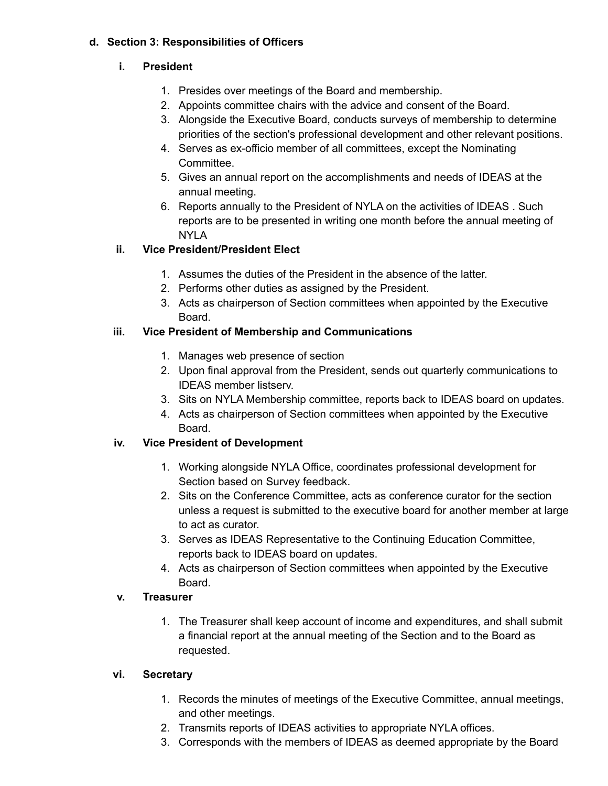## **d. Section 3: Responsibilities of Officers**

# **i. President**

- 1. Presides over meetings of the Board and membership.
- 2. Appoints committee chairs with the advice and consent of the Board.
- 3. Alongside the Executive Board, conducts surveys of membership to determine priorities of the section's professional development and other relevant positions.
- 4. Serves as ex-officio member of all committees, except the Nominating Committee.
- 5. Gives an annual report on the accomplishments and needs of IDEAS at the annual meeting.
- 6. Reports annually to the President of NYLA on the activities of IDEAS . Such reports are to be presented in writing one month before the annual meeting of NYLA

# **ii. Vice President/President Elect**

- 1. Assumes the duties of the President in the absence of the latter.
- 2. Performs other duties as assigned by the President.
- 3. Acts as chairperson of Section committees when appointed by the Executive Board.

# **iii. Vice President of Membership and Communications**

- 1. Manages web presence of section
- 2. Upon final approval from the President, sends out quarterly communications to IDEAS member listserv.
- 3. Sits on NYLA Membership committee, reports back to IDEAS board on updates.
- 4. Acts as chairperson of Section committees when appointed by the Executive Board.

# **iv. Vice President of Development**

- 1. Working alongside NYLA Office, coordinates professional development for Section based on Survey feedback.
- 2. Sits on the Conference Committee, acts as conference curator for the section unless a request is submitted to the executive board for another member at large to act as curator.
- 3. Serves as IDEAS Representative to the Continuing Education Committee, reports back to IDEAS board on updates.
- 4. Acts as chairperson of Section committees when appointed by the Executive Board.

# **v. Treasurer**

1. The Treasurer shall keep account of income and expenditures, and shall submit a financial report at the annual meeting of the Section and to the Board as requested.

## **vi. Secretary**

- 1. Records the minutes of meetings of the Executive Committee, annual meetings, and other meetings.
- 2. Transmits reports of IDEAS activities to appropriate NYLA offices.
- 3. Corresponds with the members of IDEAS as deemed appropriate by the Board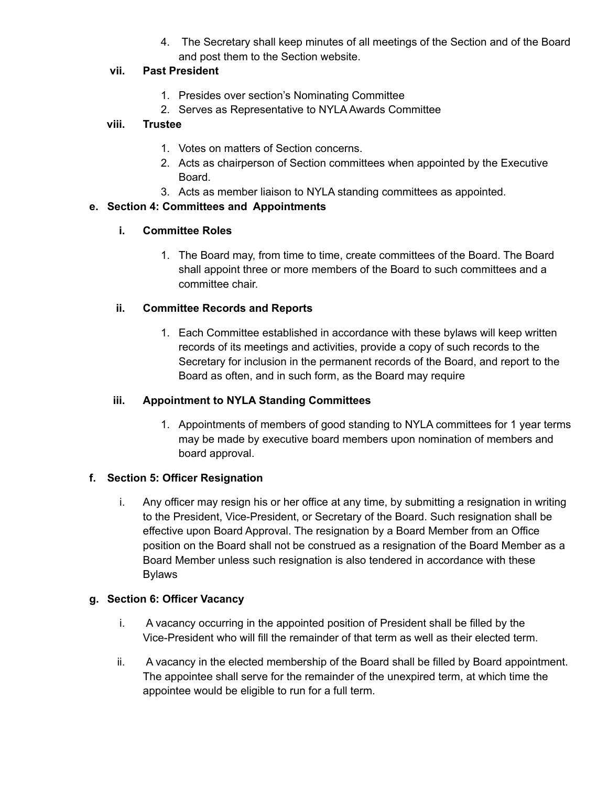4. The Secretary shall keep minutes of all meetings of the Section and of the Board and post them to the Section website.

### **vii. Past President**

- 1. Presides over section's Nominating Committee
- 2. Serves as Representative to NYLA Awards Committee

### **viii. Trustee**

- 1. Votes on matters of Section concerns.
- 2. Acts as chairperson of Section committees when appointed by the Executive Board.
- 3. Acts as member liaison to NYLA standing committees as appointed.

### **e. Section 4: Committees and Appointments**

### **i. Committee Roles**

1. The Board may, from time to time, create committees of the Board. The Board shall appoint three or more members of the Board to such committees and a committee chair.

### **ii. Committee Records and Reports**

1. Each Committee established in accordance with these bylaws will keep written records of its meetings and activities, provide a copy of such records to the Secretary for inclusion in the permanent records of the Board, and report to the Board as often, and in such form, as the Board may require

#### **iii. Appointment to NYLA Standing Committees**

1. Appointments of members of good standing to NYLA committees for 1 year terms may be made by executive board members upon nomination of members and board approval.

#### **f. Section 5: Officer Resignation**

i. Any officer may resign his or her office at any time, by submitting a resignation in writing to the President, Vice-President, or Secretary of the Board. Such resignation shall be effective upon Board Approval. The resignation by a Board Member from an Office position on the Board shall not be construed as a resignation of the Board Member as a Board Member unless such resignation is also tendered in accordance with these Bylaws

#### **g. Section 6: Officer Vacancy**

- i. A vacancy occurring in the appointed position of President shall be filled by the Vice-President who will fill the remainder of that term as well as their elected term.
- ii. A vacancy in the elected membership of the Board shall be filled by Board appointment. The appointee shall serve for the remainder of the unexpired term, at which time the appointee would be eligible to run for a full term.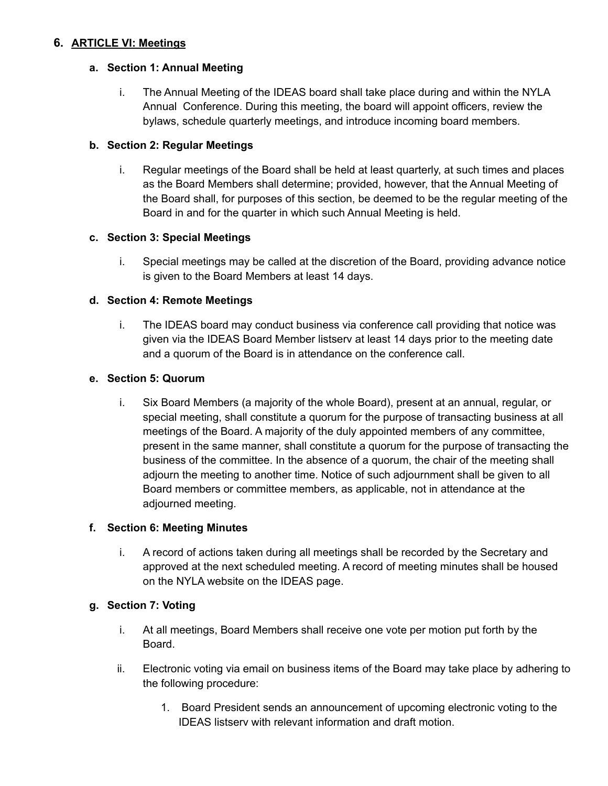## **6. ARTICLE VI: Meetings**

## **a. Section 1: Annual Meeting**

i. The Annual Meeting of the IDEAS board shall take place during and within the NYLA Annual Conference. During this meeting, the board will appoint officers, review the bylaws, schedule quarterly meetings, and introduce incoming board members.

## **b. Section 2: Regular Meetings**

i. Regular meetings of the Board shall be held at least quarterly, at such times and places as the Board Members shall determine; provided, however, that the Annual Meeting of the Board shall, for purposes of this section, be deemed to be the regular meeting of the Board in and for the quarter in which such Annual Meeting is held.

## **c. Section 3: Special Meetings**

i. Special meetings may be called at the discretion of the Board, providing advance notice is given to the Board Members at least 14 days.

## **d. Section 4: Remote Meetings**

i. The IDEAS board may conduct business via conference call providing that notice was given via the IDEAS Board Member listserv at least 14 days prior to the meeting date and a quorum of the Board is in attendance on the conference call.

## **e. Section 5: Quorum**

i. Six Board Members (a majority of the whole Board), present at an annual, regular, or special meeting, shall constitute a quorum for the purpose of transacting business at all meetings of the Board. A majority of the duly appointed members of any committee, present in the same manner, shall constitute a quorum for the purpose of transacting the business of the committee. In the absence of a quorum, the chair of the meeting shall adjourn the meeting to another time. Notice of such adjournment shall be given to all Board members or committee members, as applicable, not in attendance at the adjourned meeting.

## **f. Section 6: Meeting Minutes**

i. A record of actions taken during all meetings shall be recorded by the Secretary and approved at the next scheduled meeting. A record of meeting minutes shall be housed on the NYLA website on the IDEAS page.

## **g. Section 7: Voting**

- i. At all meetings, Board Members shall receive one vote per motion put forth by the Board.
- ii. Electronic voting via email on business items of the Board may take place by adhering to the following procedure:
	- 1. Board President sends an announcement of upcoming electronic voting to the IDEAS listserv with relevant information and draft motion.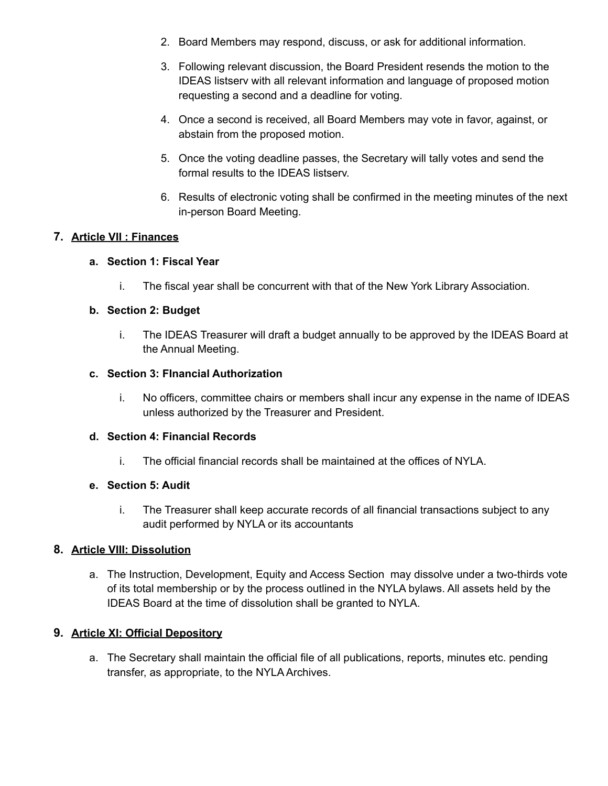- 2. Board Members may respond, discuss, or ask for additional information.
- 3. Following relevant discussion, the Board President resends the motion to the IDEAS listserv with all relevant information and language of proposed motion requesting a second and a deadline for voting.
- 4. Once a second is received, all Board Members may vote in favor, against, or abstain from the proposed motion.
- 5. Once the voting deadline passes, the Secretary will tally votes and send the formal results to the IDEAS listserv.
- 6. Results of electronic voting shall be confirmed in the meeting minutes of the next in-person Board Meeting.

## **7. Article VII : Finances**

### **a. Section 1: Fiscal Year**

i. The fiscal year shall be concurrent with that of the New York Library Association.

### **b. Section 2: Budget**

i. The IDEAS Treasurer will draft a budget annually to be approved by the IDEAS Board at the Annual Meeting.

#### **c. Section 3: FInancial Authorization**

i. No officers, committee chairs or members shall incur any expense in the name of IDEAS unless authorized by the Treasurer and President.

#### **d. Section 4: Financial Records**

i. The official financial records shall be maintained at the offices of NYLA.

#### **e. Section 5: Audit**

i. The Treasurer shall keep accurate records of all financial transactions subject to any audit performed by NYLA or its accountants

## **8. Article VIII: Dissolution**

a. The Instruction, Development, Equity and Access Section may dissolve under a two-thirds vote of its total membership or by the process outlined in the NYLA bylaws. All assets held by the IDEAS Board at the time of dissolution shall be granted to NYLA.

## **9. Article XI: Official Depository**

a. The Secretary shall maintain the official file of all publications, reports, minutes etc. pending transfer, as appropriate, to the NYLA Archives.